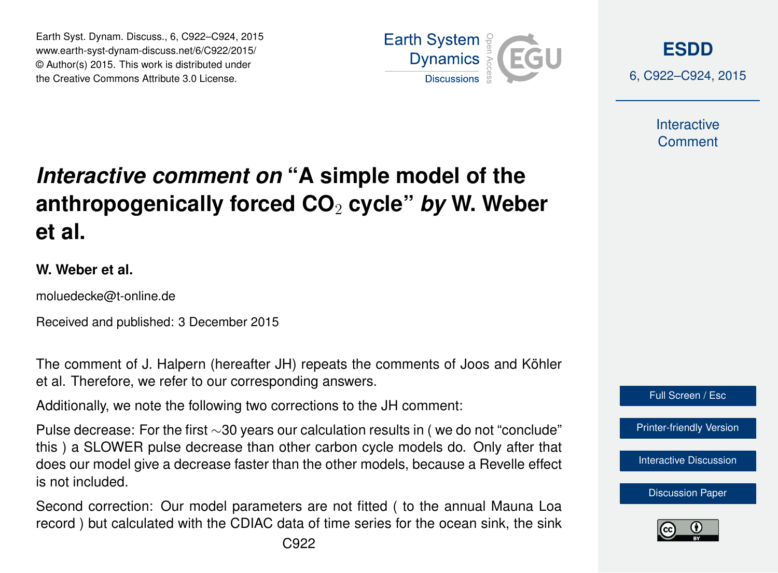Earth Syst. Dynam. Discuss., 6, C922–C924, 2015 www.earth-syst-dynam-discuss.net/6/C922/2015/ © Author(s) 2015. This work is distributed under the Creative Commons Attribute 3.0 License.



**[ESDD](http://www.earth-syst-dynam-discuss.net)**

6, C922–C924, 2015

**Interactive Comment** 

## *Interactive comment on* **"A simple model of the anthropogenically forced CO**<sup>2</sup> **cycle"** *by* **W. Weber et al.**

## **W. Weber et al.**

moluedecke@t-online.de

Received and published: 3 December 2015

The comment of J. Halpern (hereafter JH) repeats the comments of Joos and Köhler et al. Therefore, we refer to our corresponding answers.

Additionally, we note the following two corrections to the JH comment:

Pulse decrease: For the first ∼30 years our calculation results in ( we do not "conclude" this ) a SLOWER pulse decrease than other carbon cycle models do. Only after that does our model give a decrease faster than the other models, because a Revelle effect is not included.

Second correction: Our model parameters are not fitted ( to the annual Mauna Loa record ) but calculated with the CDIAC data of time series for the ocean sink, the sink



[Printer-friendly Version](http://www.earth-syst-dynam-discuss.net/6/C922/2015/esdd-6-C922-2015-print.pdf)

[Interactive Discussion](http://www.earth-syst-dynam-discuss.net/6/2043/2015/esdd-6-2043-2015-discussion.html)

[Discussion Paper](http://www.earth-syst-dynam-discuss.net/6/2043/2015/esdd-6-2043-2015.pdf)

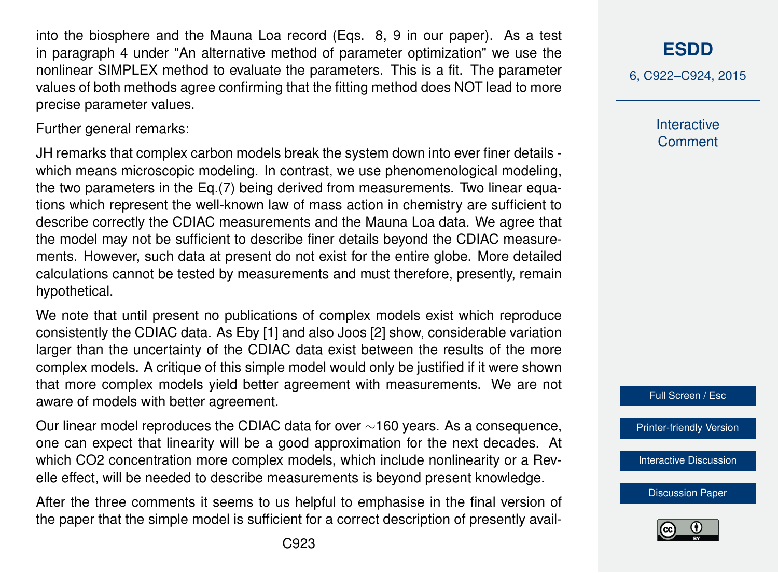into the biosphere and the Mauna Loa record (Eqs. 8, 9 in our paper). As a test in paragraph 4 under "An alternative method of parameter optimization" we use the nonlinear SIMPLEX method to evaluate the parameters. This is a fit. The parameter values of both methods agree confirming that the fitting method does NOT lead to more precise parameter values.

Further general remarks:

JH remarks that complex carbon models break the system down into ever finer details which means microscopic modeling. In contrast, we use phenomenological modeling, the two parameters in the Eq.(7) being derived from measurements. Two linear equations which represent the well-known law of mass action in chemistry are sufficient to describe correctly the CDIAC measurements and the Mauna Loa data. We agree that the model may not be sufficient to describe finer details beyond the CDIAC measurements. However, such data at present do not exist for the entire globe. More detailed calculations cannot be tested by measurements and must therefore, presently, remain hypothetical.

We note that until present no publications of complex models exist which reproduce consistently the CDIAC data. As Eby [1] and also Joos [2] show, considerable variation larger than the uncertainty of the CDIAC data exist between the results of the more complex models. A critique of this simple model would only be justified if it were shown that more complex models yield better agreement with measurements. We are not aware of models with better agreement.

Our linear model reproduces the CDIAC data for over ∼160 years. As a consequence, one can expect that linearity will be a good approximation for the next decades. At which CO2 concentration more complex models, which include nonlinearity or a Revelle effect, will be needed to describe measurements is beyond present knowledge.

After the three comments it seems to us helpful to emphasise in the final version of the paper that the simple model is sufficient for a correct description of presently avail**[ESDD](http://www.earth-syst-dynam-discuss.net)**

6, C922–C924, 2015

**Interactive Comment** 

Full Screen / Esc

[Printer-friendly Version](http://www.earth-syst-dynam-discuss.net/6/C922/2015/esdd-6-C922-2015-print.pdf)

[Interactive Discussion](http://www.earth-syst-dynam-discuss.net/6/2043/2015/esdd-6-2043-2015-discussion.html)

[Discussion Paper](http://www.earth-syst-dynam-discuss.net/6/2043/2015/esdd-6-2043-2015.pdf)